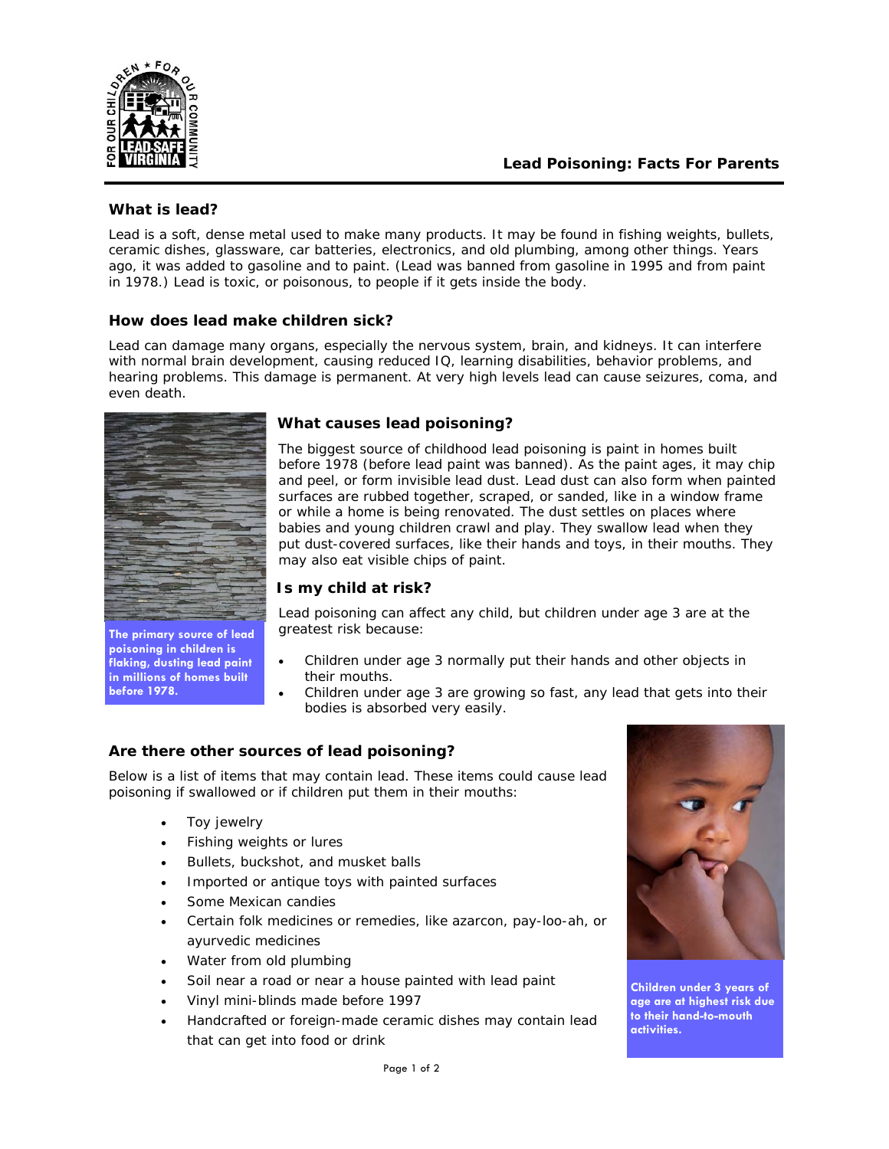

## *What is lead?*

Lead is a soft, dense metal used to make many products. It may be found in fishing weights, bullets, ceramic dishes, glassware, car batteries, electronics, and old plumbing, among other things. Years ago, it was added to gasoline and to paint. (Lead was banned from gasoline in 1995 and from paint in 1978.) Lead is *toxic*, or poisonous, to people if it gets inside the body.

## *How does lead make children sick?*

Lead can damage many organs, especially the nervous system, brain, and kidneys. It can interfere with normal brain development, causing reduced IQ, learning disabilities, behavior problems, and hearing problems. *This damage is permanent.* At very high levels lead can cause seizures, coma, and even death.



**The primary source of lead poisoning in children is flaking, dusting lead paint in millions of homes built before 1978.** 

# *What causes lead poisoning?*

The biggest source of childhood lead poisoning is paint in homes built before 1978 (before lead paint was banned). As the paint ages, it may chip and peel, or form invisible *lead dust*. Lead dust can also form when painted surfaces are rubbed together, scraped, or sanded, like in a window frame or while a home is being renovated. The dust settles on places where babies and young children crawl and play. They swallow lead when they put dust-covered surfaces, like their hands and toys, in their mouths. They may also eat visible chips of paint.

## *Is my child at risk?*

Lead poisoning can affect any child, but children under age 3 are at the greatest risk because:

- Children under age 3 normally put their hands and other objects in their mouths.
- Children under age 3 are growing so fast, any lead that gets into their bodies is absorbed very easily.

# *Are there other sources of lead poisoning?*

Below is a list of items that may contain lead. These items could cause lead poisoning if swallowed or if children put them in their mouths:

- Toy jewelry
- Fishing weights or lures
- Bullets, buckshot, and musket balls
- Imported or antique toys with painted surfaces
- Some Mexican candies
- Certain folk medicines or remedies, like *azarcon, pay-loo-ah,* or *ayurvedic* medicines
- Water from old plumbing
- Soil near a road or near a house painted with lead paint
- Vinyl mini-blinds made before 1997
- Handcrafted or foreign-made ceramic dishes may contain lead that can get into food or drink



**Children under 3 years of age are at highest risk due to their hand-to-mouth activities.**